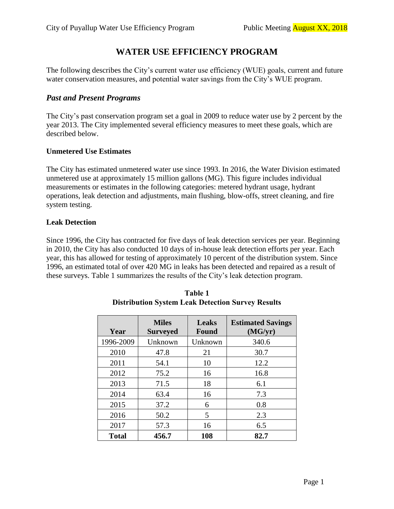# **WATER USE EFFICIENCY PROGRAM**

The following describes the City's current water use efficiency (WUE) goals, current and future water conservation measures, and potential water savings from the City's WUE program.

# *Past and Present Programs*

The City's past conservation program set a goal in 2009 to reduce water use by 2 percent by the year 2013. The City implemented several efficiency measures to meet these goals, which are described below.

## **Unmetered Use Estimates**

The City has estimated unmetered water use since 1993. In 2016, the Water Division estimated unmetered use at approximately 15 million gallons (MG). This figure includes individual measurements or estimates in the following categories: metered hydrant usage, hydrant operations, leak detection and adjustments, main flushing, blow-offs, street cleaning, and fire system testing.

## **Leak Detection**

Since 1996, the City has contracted for five days of leak detection services per year. Beginning in 2010, the City has also conducted 10 days of in-house leak detection efforts per year. Each year, this has allowed for testing of approximately 10 percent of the distribution system. Since 1996, an estimated total of over 420 MG in leaks has been detected and repaired as a result of these surveys. Table 1 summarizes the results of the City's leak detection program.

| Year         | <b>Miles</b><br><b>Surveyed</b> | <b>Leaks</b><br><b>Found</b> | <b>Estimated Savings</b><br>(MG/yr) |
|--------------|---------------------------------|------------------------------|-------------------------------------|
| 1996-2009    | Unknown                         | Unknown                      | 340.6                               |
| 2010         | 47.8                            | 21                           | 30.7                                |
| 2011         | 54.1                            | 10                           | 12.2                                |
| 2012         | 75.2                            | 16                           | 16.8                                |
| 2013         | 71.5                            | 18                           | 6.1                                 |
| 2014         | 63.4                            | 16                           | 7.3                                 |
| 2015         | 37.2                            | 6                            | 0.8                                 |
| 2016         | 50.2                            | 5                            | 2.3                                 |
| 2017         | 57.3                            | 16                           | 6.5                                 |
| <b>Total</b> | 456.7                           | 108                          | 82.7                                |

| Table 1                                                  |
|----------------------------------------------------------|
| <b>Distribution System Leak Detection Survey Results</b> |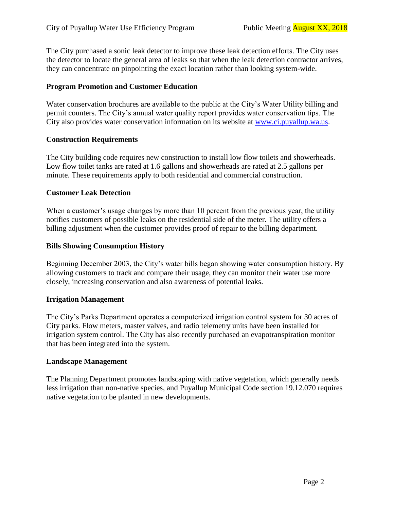The City purchased a sonic leak detector to improve these leak detection efforts. The City uses the detector to locate the general area of leaks so that when the leak detection contractor arrives, they can concentrate on pinpointing the exact location rather than looking system-wide.

### **Program Promotion and Customer Education**

Water conservation brochures are available to the public at the City's Water Utility billing and permit counters. The City's annual water quality report provides water conservation tips. The City also provides water conservation information on its website at [www.ci.puyallup.wa.us.](http://www.ci.puyallup.wa.us/)

### **Construction Requirements**

The City building code requires new construction to install low flow toilets and showerheads. Low flow toilet tanks are rated at 1.6 gallons and showerheads are rated at 2.5 gallons per minute. These requirements apply to both residential and commercial construction.

### **Customer Leak Detection**

When a customer's usage changes by more than 10 percent from the previous year, the utility notifies customers of possible leaks on the residential side of the meter. The utility offers a billing adjustment when the customer provides proof of repair to the billing department.

### **Bills Showing Consumption History**

Beginning December 2003, the City's water bills began showing water consumption history. By allowing customers to track and compare their usage, they can monitor their water use more closely, increasing conservation and also awareness of potential leaks.

### **Irrigation Management**

The City's Parks Department operates a computerized irrigation control system for 30 acres of City parks. Flow meters, master valves, and radio telemetry units have been installed for irrigation system control. The City has also recently purchased an evapotranspiration monitor that has been integrated into the system.

#### **Landscape Management**

The Planning Department promotes landscaping with native vegetation, which generally needs less irrigation than non-native species, and Puyallup Municipal Code section 19.12.070 requires native vegetation to be planted in new developments.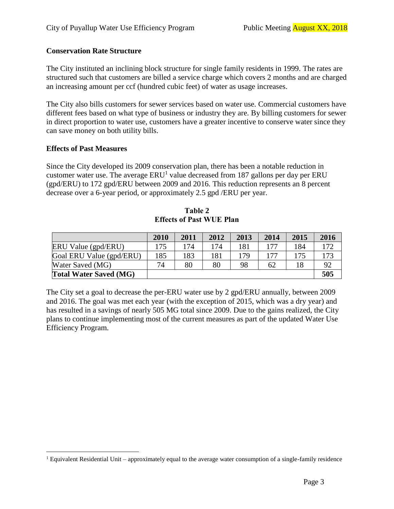# **Conservation Rate Structure**

The City instituted an inclining block structure for single family residents in 1999. The rates are structured such that customers are billed a service charge which covers 2 months and are charged an increasing amount per ccf (hundred cubic feet) of water as usage increases.

The City also bills customers for sewer services based on water use. Commercial customers have different fees based on what type of business or industry they are. By billing customers for sewer in direct proportion to water use, customers have a greater incentive to conserve water since they can save money on both utility bills.

### **Effects of Past Measures**

Since the City developed its 2009 conservation plan, there has been a notable reduction in customer water use. The average  $ERU^1$  value decreased from 187 gallons per day per  $ERU$ (gpd/ERU) to 172 gpd/ERU between 2009 and 2016. This reduction represents an 8 percent decrease over a 6-year period, or approximately 2.5 gpd /ERU per year.

|                               | 2010 | 2011 | 2012 | 2013 | 2014 | 2015 | 2016 |
|-------------------------------|------|------|------|------|------|------|------|
| ERU Value (gpd/ERU)           | 175  | 174  | 174  | 181  | 177  | 184  | 172  |
| Goal ERU Value (gpd/ERU)      | 185  | 183  | 181  | 179  | 177  | 175  | 173  |
| Water Saved (MG)              | 74   | 80   | 80   | 98   | 62   | 18   | 92   |
| <b>Total Water Saved (MG)</b> |      |      |      |      |      |      | 505  |

**Table 2 Effects of Past WUE Plan**

The City set a goal to decrease the per-ERU water use by 2 gpd/ERU annually, between 2009 and 2016. The goal was met each year (with the exception of 2015, which was a dry year) and has resulted in a savings of nearly 505 MG total since 2009. Due to the gains realized, the City plans to continue implementing most of the current measures as part of the updated Water Use Efficiency Program.

 $\overline{a}$ <sup>1</sup> Equivalent Residential Unit – approximately equal to the average water consumption of a single-family residence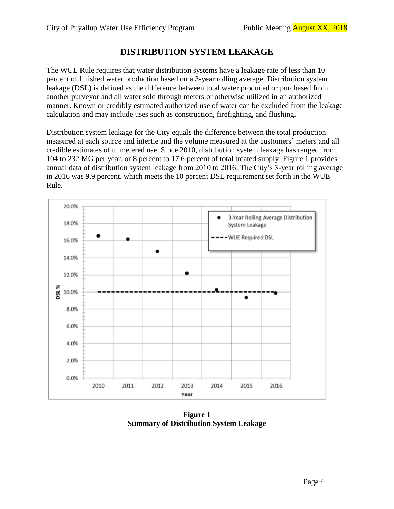# **DISTRIBUTION SYSTEM LEAKAGE**

The WUE Rule requires that water distribution systems have a leakage rate of less than 10 percent of finished water production based on a 3-year rolling average. Distribution system leakage (DSL) is defined as the difference between total water produced or purchased from another purveyor and all water sold through meters or otherwise utilized in an authorized manner. Known or credibly estimated authorized use of water can be excluded from the leakage calculation and may include uses such as construction, firefighting, and flushing.

Distribution system leakage for the City equals the difference between the total production measured at each source and intertie and the volume measured at the customers' meters and all credible estimates of unmetered use. Since 2010, distribution system leakage has ranged from 104 to 232 MG per year, or 8 percent to 17.6 percent of total treated supply. Figure 1 provides annual data of distribution system leakage from 2010 to 2016. The City's 3-year rolling average in 2016 was 9.9 percent, which meets the 10 percent DSL requirement set forth in the WUE Rule.



**Figure 1 Summary of Distribution System Leakage**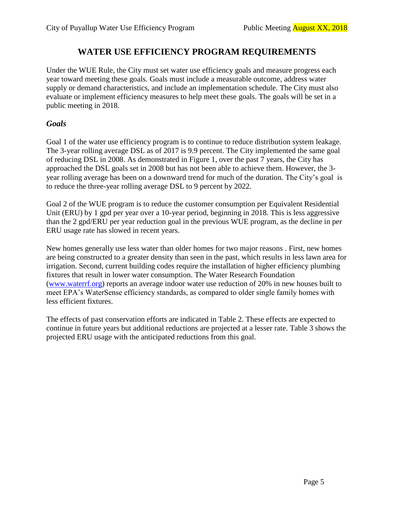# **WATER USE EFFICIENCY PROGRAM REQUIREMENTS**

Under the WUE Rule, the City must set water use efficiency goals and measure progress each year toward meeting these goals. Goals must include a measurable outcome, address water supply or demand characteristics, and include an implementation schedule. The City must also evaluate or implement efficiency measures to help meet these goals. The goals will be set in a public meeting in 2018.

# *Goals*

Goal 1 of the water use efficiency program is to continue to reduce distribution system leakage. The 3-year rolling average DSL as of 2017 is 9.9 percent. The City implemented the same goal of reducing DSL in 2008. As demonstrated in Figure 1, over the past 7 years, the City has approached the DSL goals set in 2008 but has not been able to achieve them. However, the 3 year rolling average has been on a downward trend for much of the duration. The City's goal is to reduce the three-year rolling average DSL to 9 percent by 2022.

Goal 2 of the WUE program is to reduce the customer consumption per Equivalent Residential Unit (ERU) by 1 gpd per year over a 10-year period, beginning in 2018. This is less aggressive than the 2 gpd/ERU per year reduction goal in the previous WUE program, as the decline in per ERU usage rate has slowed in recent years.

New homes generally use less water than older homes for two major reasons . First, new homes are being constructed to a greater density than seen in the past, which results in less lawn area for irrigation. Second, current building codes require the installation of higher efficiency plumbing fixtures that result in lower water consumption. The Water Research Foundation [\(www.waterrf.org\)](http://www.waterrf.org/) reports an average indoor water use reduction of 20% in new houses built to meet EPA's WaterSense efficiency standards, as compared to older single family homes with less efficient fixtures.

The effects of past conservation efforts are indicated in Table 2. These effects are expected to continue in future years but additional reductions are projected at a lesser rate. Table 3 shows the projected ERU usage with the anticipated reductions from this goal.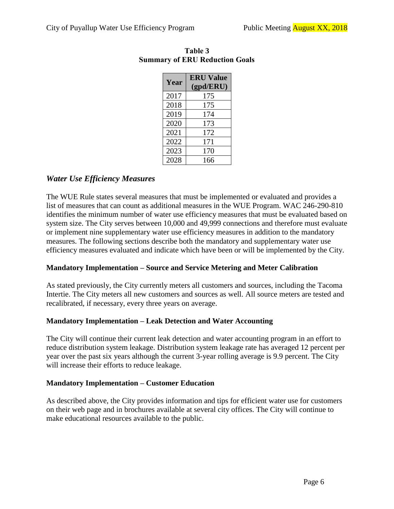| Year | <b>ERU</b> Value |  |  |  |
|------|------------------|--|--|--|
|      | (gpd/ERU)        |  |  |  |
| 2017 | 175              |  |  |  |
| 2018 | 175              |  |  |  |
| 2019 | 174              |  |  |  |
| 2020 | 173              |  |  |  |
| 2021 | 172              |  |  |  |
| 2022 | 171              |  |  |  |
| 2023 | 170              |  |  |  |
| 2028 | 166              |  |  |  |

# **Table 3 Summary of ERU Reduction Goals**

# *Water Use Efficiency Measures*

The WUE Rule states several measures that must be implemented or evaluated and provides a list of measures that can count as additional measures in the WUE Program. WAC 246-290-810 identifies the minimum number of water use efficiency measures that must be evaluated based on system size. The City serves between 10,000 and 49,999 connections and therefore must evaluate or implement nine supplementary water use efficiency measures in addition to the mandatory measures. The following sections describe both the mandatory and supplementary water use efficiency measures evaluated and indicate which have been or will be implemented by the City.

# **Mandatory Implementation – Source and Service Metering and Meter Calibration**

As stated previously, the City currently meters all customers and sources, including the Tacoma Intertie. The City meters all new customers and sources as well. All source meters are tested and recalibrated, if necessary, every three years on average.

# **Mandatory Implementation – Leak Detection and Water Accounting**

The City will continue their current leak detection and water accounting program in an effort to reduce distribution system leakage. Distribution system leakage rate has averaged 12 percent per year over the past six years although the current 3-year rolling average is 9.9 percent. The City will increase their efforts to reduce leakage.

### **Mandatory Implementation – Customer Education**

As described above, the City provides information and tips for efficient water use for customers on their web page and in brochures available at several city offices. The City will continue to make educational resources available to the public.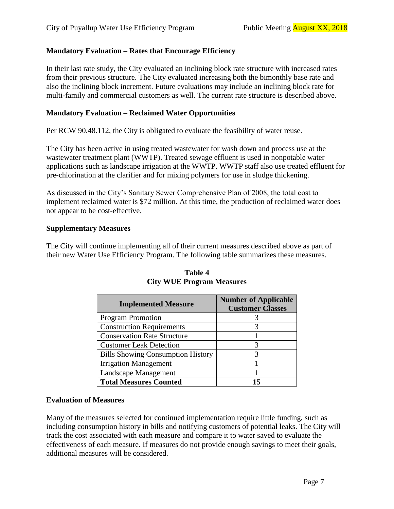# **Mandatory Evaluation – Rates that Encourage Efficiency**

In their last rate study, the City evaluated an inclining block rate structure with increased rates from their previous structure. The City evaluated increasing both the bimonthly base rate and also the inclining block increment. Future evaluations may include an inclining block rate for multi-family and commercial customers as well. The current rate structure is described above.

### **Mandatory Evaluation – Reclaimed Water Opportunities**

Per RCW 90.48.112, the City is obligated to evaluate the feasibility of water reuse.

The City has been active in using treated wastewater for wash down and process use at the wastewater treatment plant (WWTP). Treated sewage effluent is used in nonpotable water applications such as landscape irrigation at the WWTP. WWTP staff also use treated effluent for pre-chlorination at the clarifier and for mixing polymers for use in sludge thickening.

As discussed in the City's Sanitary Sewer Comprehensive Plan of 2008, the total cost to implement reclaimed water is \$72 million. At this time, the production of reclaimed water does not appear to be cost-effective.

### **Supplementary Measures**

The City will continue implementing all of their current measures described above as part of their new Water Use Efficiency Program. The following table summarizes these measures.

| <b>Implemented Measure</b>               | <b>Number of Applicable</b><br><b>Customer Classes</b> |  |  |
|------------------------------------------|--------------------------------------------------------|--|--|
| <b>Program Promotion</b>                 |                                                        |  |  |
| <b>Construction Requirements</b>         |                                                        |  |  |
| <b>Conservation Rate Structure</b>       |                                                        |  |  |
| <b>Customer Leak Detection</b>           | 3                                                      |  |  |
| <b>Bills Showing Consumption History</b> | 3                                                      |  |  |
| <b>Irrigation Management</b>             |                                                        |  |  |
| <b>Landscape Management</b>              |                                                        |  |  |
| <b>Total Measures Counted</b>            | 15                                                     |  |  |

### **Table 4 City WUE Program Measures**

### **Evaluation of Measures**

Many of the measures selected for continued implementation require little funding, such as including consumption history in bills and notifying customers of potential leaks. The City will track the cost associated with each measure and compare it to water saved to evaluate the effectiveness of each measure. If measures do not provide enough savings to meet their goals, additional measures will be considered.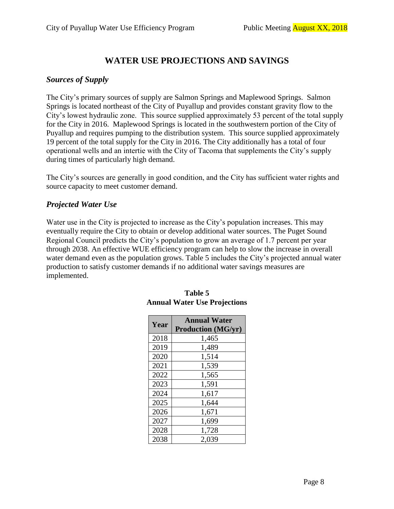# **WATER USE PROJECTIONS AND SAVINGS**

# *Sources of Supply*

The City's primary sources of supply are Salmon Springs and Maplewood Springs. Salmon Springs is located northeast of the City of Puyallup and provides constant gravity flow to the City's lowest hydraulic zone. This source supplied approximately 53 percent of the total supply for the City in 2016. Maplewood Springs is located in the southwestern portion of the City of Puyallup and requires pumping to the distribution system. This source supplied approximately 19 percent of the total supply for the City in 2016. The City additionally has a total of four operational wells and an intertie with the City of Tacoma that supplements the City's supply during times of particularly high demand.

The City's sources are generally in good condition, and the City has sufficient water rights and source capacity to meet customer demand.

# *Projected Water Use*

Water use in the City is projected to increase as the City's population increases. This may eventually require the City to obtain or develop additional water sources. The Puget Sound Regional Council predicts the City's population to grow an average of 1.7 percent per year through 2038. An effective WUE efficiency program can help to slow the increase in overall water demand even as the population grows. Table 5 includes the City's projected annual water production to satisfy customer demands if no additional water savings measures are implemented.

| Year | <b>Annual Water</b>       |
|------|---------------------------|
|      | <b>Production (MG/yr)</b> |
| 2018 | 1,465                     |
| 2019 | 1,489                     |
| 2020 | 1,514                     |
| 2021 | 1,539                     |
| 2022 | 1,565                     |
| 2023 | 1,591                     |
| 2024 | 1,617                     |
| 2025 | 1,644                     |
| 2026 | 1,671                     |
| 2027 | 1,699                     |
| 2028 | 1,728                     |
| 2038 | 2,039                     |

### **Table 5 Annual Water Use Projections**